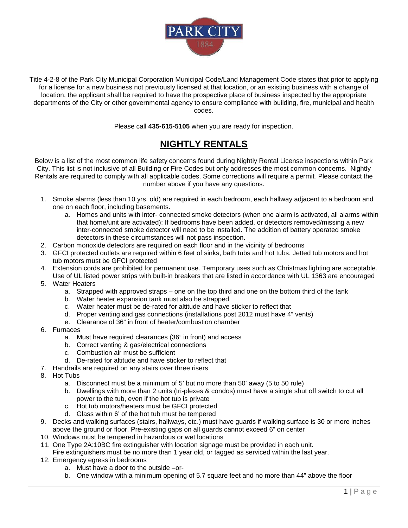

Title 4-2-8 of the Park City Municipal Corporation Municipal Code/Land Management Code states that prior to applying for a license for a new business not previously licensed at that location, or an existing business with a change of location, the applicant shall be required to have the prospective place of business inspected by the appropriate departments of the City or other governmental agency to ensure compliance with building, fire, municipal and health codes.

Please call **435-615-5105** when you are ready for inspection.

## **NIGHTLY RENTALS**

Below is a list of the most common life safety concerns found during Nightly Rental License inspections within Park City. This list is not inclusive of all Building or Fire Codes but only addresses the most common concerns. Nightly Rentals are required to comply with all applicable codes. Some corrections will require a permit*.* Please contact the number above if you have any questions.

- 1. Smoke alarms (less than 10 yrs. old) are required in each bedroom, each hallway adjacent to a bedroom and one on each floor, including basements.
	- a. Homes and units with inter- connected smoke detectors (when one alarm is activated, all alarms within that home/unit are activated): If bedrooms have been added, or detectors removed/missing a new inter-connected smoke detector will need to be installed. The addition of battery operated smoke detectors in these circumstances will not pass inspection.
- 2. Carbon monoxide detectors are required on each floor and in the vicinity of bedrooms
- 3. GFCI protected outlets are required within 6 feet of sinks, bath tubs and hot tubs. Jetted tub motors and hot tub motors must be GFCI protected
- 4. Extension cords are prohibited for permanent use. Temporary uses such as Christmas lighting are acceptable. Use of UL listed power strips with built-in breakers that are listed in accordance with UL 1363 are encouraged
- 5. Water Heaters
	- a. Strapped with approved straps one on the top third and one on the bottom third of the tank
	- b. Water heater expansion tank must also be strapped
	- c. Water heater must be de-rated for altitude and have sticker to reflect that
	- d. Proper venting and gas connections (installations post 2012 must have 4" vents)
	- e. Clearance of 36" in front of heater/combustion chamber
- 6. Furnaces
	- a. Must have required clearances (36" in front) and access
	- b. Correct venting & gas/electrical connections
	- c. Combustion air must be sufficient
	- d. De-rated for altitude and have sticker to reflect that
- 7. Handrails are required on any stairs over three risers
- 8. Hot Tubs
	- a. Disconnect must be a minimum of 5' but no more than 50' away (5 to 50 rule)
	- b. Dwellings with more than 2 units (tri-plexes & condos) must have a single shut off switch to cut all power to the tub, even if the hot tub is private
	- c. Hot tub motors/heaters must be GFCI protected
	- d. Glass within 6' of the hot tub must be tempered
- 9. Decks and walking surfaces (stairs, hallways, etc.) must have guards if walking surface is 30 or more inches above the ground or floor. Pre-existing gaps on all guards cannot exceed 6" on center
- 10. Windows must be tempered in hazardous or wet locations
- 11. One Type 2A:10BC fire extinguisher with location signage must be provided in each unit.
- Fire extinguishers must be no more than 1 year old, or tagged as serviced within the last year.
- 12. Emergency egress in bedrooms
	- a. Must have a door to the outside –or-
	- b. One window with a minimum opening of 5.7 square feet and no more than 44" above the floor